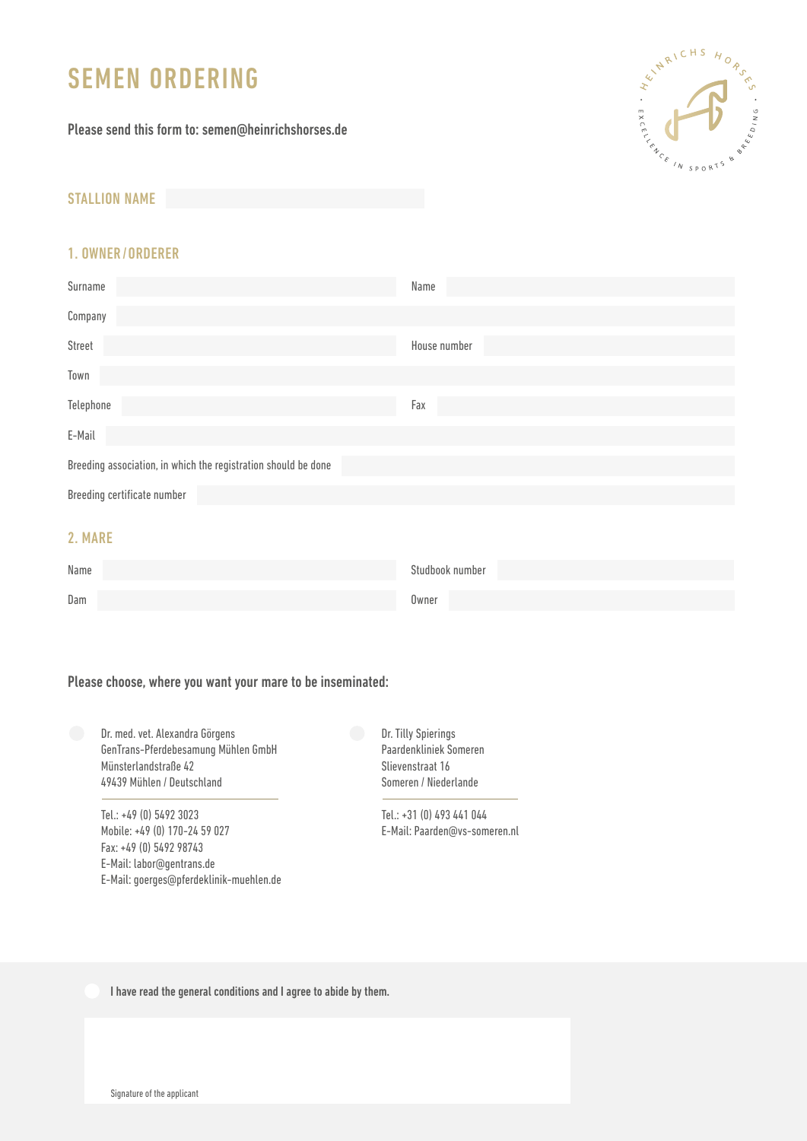# SEMEN ORDERING

Please send this form to: [semen@heinrichshorses.de](mailto:semen%40heinrichshorses.de?subject=)



#### STALLION NAME

### 1. OWNER /ORDERER

| Surname                                                        | Name         |
|----------------------------------------------------------------|--------------|
| Company                                                        |              |
| Street                                                         | House number |
| Town                                                           |              |
| Telephone                                                      | Fax          |
| E-Mail                                                         |              |
| Breeding association, in which the registration should be done |              |
| Breeding certificate number                                    |              |
| 2. MARE                                                        |              |

| Name | Studbook number |
|------|-----------------|
| Dam  | Owner           |

# Please choose, where you want your mare to be inseminated:

Dr. med. vet. Alexandra Görgens GenTrans-Pferdebesamung Mühlen GmbH Münsterlandstraße 42 49439 Mühlen / Deutschland

Tel.: +49 (0) 5492 3023 Mobile: +49 (0) 170-24 59 027 Fax: +49 (0) 5492 98743 E-Mail: labor@gentrans.de E-Mail: goerges@pferdeklinik-muehlen.de Dr. Tilly Spierings Paardenkliniek Someren Slievenstraat 16 Someren / Niederlande

Tel.: +31 (0) 493 441 044 E-Mail: Paarden@vs-someren.nl

I have read the general conditions and I agree to abide by them.